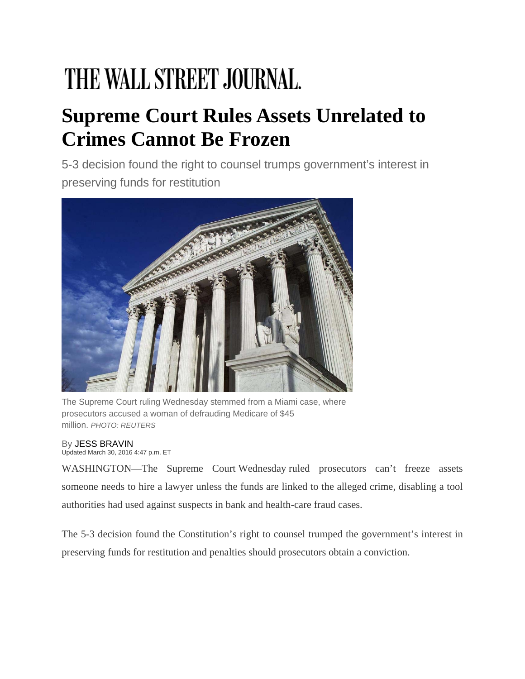## THE WALL STREET JOURNAL.

## **Supreme Court Rules Assets Unrelated to Crimes Cannot Be Frozen**

5-3 decision found the right to counsel trumps government's interest in preserving funds for restitution



The Supreme Court ruling Wednesday stemmed from a Miami case, where prosecutors accused a woman of defrauding Medicare of \$45 million. *PHOTO: REUTERS*

By JESS BRAVIN Updated March 30, 2016 4:47 p.m. ET

WASHINGTON—The Supreme Court Wednesday ruled prosecutors can't freeze assets someone needs to hire a lawyer unless the funds are linked to the alleged crime, disabling a tool authorities had used against suspects in bank and health-care fraud cases.

The 5-3 decision found the Constitution's right to counsel trumped the government's interest in preserving funds for restitution and penalties should prosecutors obtain a conviction.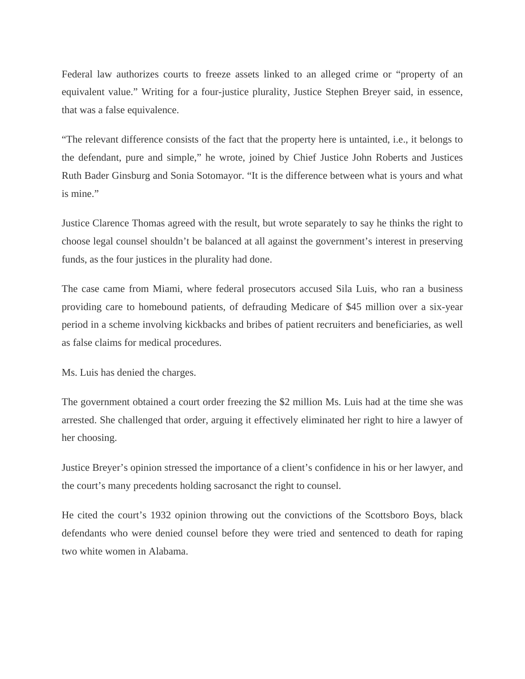Federal law authorizes courts to freeze assets linked to an alleged crime or "property of an equivalent value." Writing for a four-justice plurality, Justice Stephen Breyer said, in essence, that was a false equivalence.

"The relevant difference consists of the fact that the property here is untainted, i.e., it belongs to the defendant, pure and simple," he wrote, joined by Chief Justice John Roberts and Justices Ruth Bader Ginsburg and Sonia Sotomayor. "It is the difference between what is yours and what is mine."

Justice Clarence Thomas agreed with the result, but wrote separately to say he thinks the right to choose legal counsel shouldn't be balanced at all against the government's interest in preserving funds, as the four justices in the plurality had done.

The case came from Miami, where federal prosecutors accused Sila Luis, who ran a business providing care to homebound patients, of defrauding Medicare of \$45 million over a six-year period in a scheme involving kickbacks and bribes of patient recruiters and beneficiaries, as well as false claims for medical procedures.

Ms. Luis has denied the charges.

The government obtained a court order freezing the \$2 million Ms. Luis had at the time she was arrested. She challenged that order, arguing it effectively eliminated her right to hire a lawyer of her choosing.

Justice Breyer's opinion stressed the importance of a client's confidence in his or her lawyer, and the court's many precedents holding sacrosanct the right to counsel.

He cited the court's 1932 opinion throwing out the convictions of the Scottsboro Boys, black defendants who were denied counsel before they were tried and sentenced to death for raping two white women in Alabama.